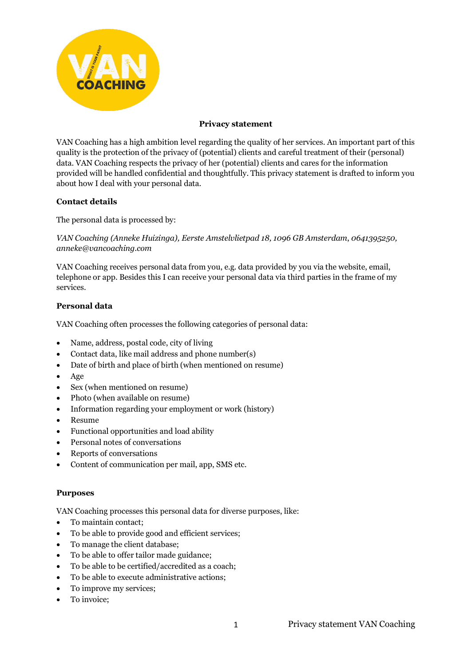

# **Privacy statement**

VAN Coaching has a high ambition level regarding the quality of her services. An important part of this quality is the protection of the privacy of (potential) clients and careful treatment of their (personal) data. VAN Coaching respects the privacy of her (potential) clients and cares for the information provided will be handled confidential and thoughtfully. This privacy statement is drafted to inform you about how I deal with your personal data.

# **Contact details**

The personal data is processed by:

*VAN Coaching (Anneke Huizinga), Eerste Amstelvlietpad 18, 1096 GB Amsterdam*, *0641395250, anneke@vancoaching.com*

VAN Coaching receives personal data from you, e.g. data provided by you via the website, email, telephone or app. Besides this I can receive your personal data via third parties in the frame of my services.

# **Personal data**

VAN Coaching often processes the following categories of personal data:

- Name, address, postal code, city of living
- Contact data, like mail address and phone number(s)
- Date of birth and place of birth (when mentioned on resume)
- Age
- Sex (when mentioned on resume)
- Photo (when available on resume)
- Information regarding your employment or work (history)
- Resume
- Functional opportunities and load ability
- Personal notes of conversations
- Reports of conversations
- Content of communication per mail, app, SMS etc.

## **Purposes**

VAN Coaching processes this personal data for diverse purposes, like:

- To maintain contact;
- To be able to provide good and efficient services;
- To manage the client database;
- To be able to offer tailor made guidance;
- To be able to be certified/accredited as a coach;
- To be able to execute administrative actions;
- To improve my services;
- To invoice;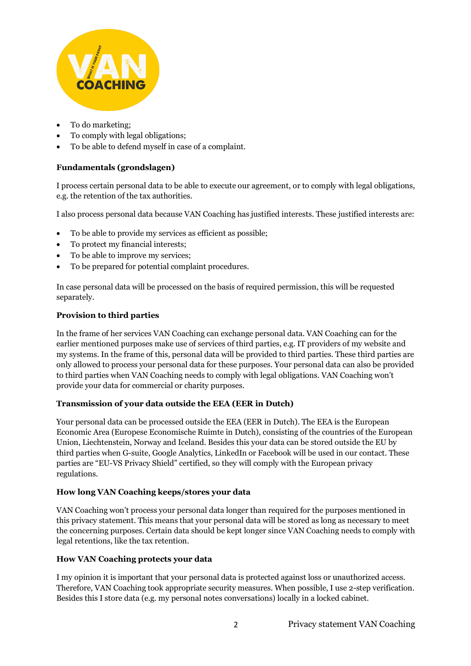

- To do marketing;
- To comply with legal obligations;
- To be able to defend myself in case of a complaint.

# **Fundamentals (grondslagen)**

I process certain personal data to be able to execute our agreement, or to comply with legal obligations, e.g. the retention of the tax authorities.

I also process personal data because VAN Coaching has justified interests. These justified interests are:

- To be able to provide my services as efficient as possible;
- To protect my financial interests;
- To be able to improve my services;
- To be prepared for potential complaint procedures.

In case personal data will be processed on the basis of required permission, this will be requested separately.

# **Provision to third parties**

In the frame of her services VAN Coaching can exchange personal data. VAN Coaching can for the earlier mentioned purposes make use of services of third parties, e.g. IT providers of my website and my systems. In the frame of this, personal data will be provided to third parties. These third parties are only allowed to process your personal data for these purposes. Your personal data can also be provided to third parties when VAN Coaching needs to comply with legal obligations. VAN Coaching won't provide your data for commercial or charity purposes.

# **Transmission of your data outside the EEA (EER in Dutch)**

Your personal data can be processed outside the EEA (EER in Dutch). The EEA is the European Economic Area (Europese Economische Ruimte in Dutch), consisting of the countries of the European Union, Liechtenstein, Norway and Iceland. Besides this your data can be stored outside the EU by third parties when G-suite, Google Analytics, LinkedIn or Facebook will be used in our contact. These parties are "EU-VS Privacy Shield" certified, so they will comply with the European privacy regulations.

## **How long VAN Coaching keeps/stores your data**

VAN Coaching won't process your personal data longer than required for the purposes mentioned in this privacy statement. This means that your personal data will be stored as long as necessary to meet the concerning purposes. Certain data should be kept longer since VAN Coaching needs to comply with legal retentions, like the tax retention.

## **How VAN Coaching protects your data**

I my opinion it is important that your personal data is protected against loss or unauthorized access. Therefore, VAN Coaching took appropriate security measures. When possible, I use 2-step verification. Besides this I store data (e.g. my personal notes conversations) locally in a locked cabinet.